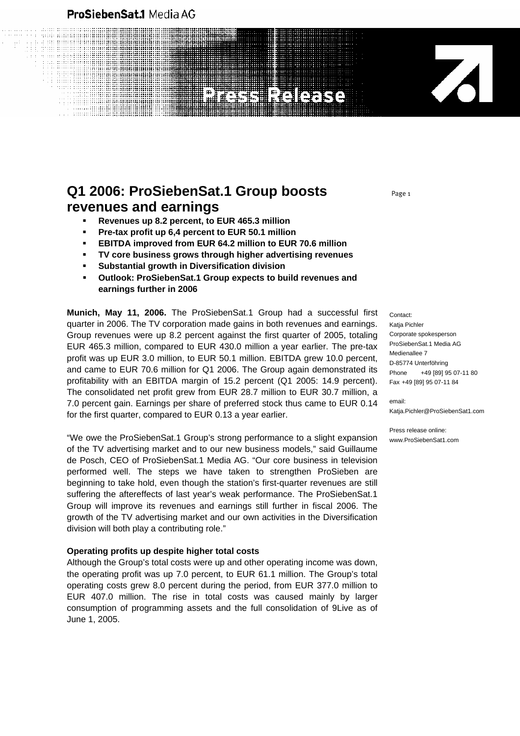### ProSiebenSat.1 Media AG

# $\overline{\mathcal{A}}$ **REIGERS**

## **Q1 2006: ProSiebenSat.1 Group boosts revenues and earnings**

- **Revenues up 8.2 percent, to EUR 465.3 million**
- **Pre-tax profit up 6,4 percent to EUR 50.1 million**
- **EBITDA improved from EUR 64.2 million to EUR 70.6 million**
- **TV core business grows through higher advertising revenues**
- **Substantial growth in Diversification division**
- **Outlook: ProSiebenSat.1 Group expects to build revenues and earnings further in 2006**

**Munich, May 11, 2006.** The ProSiebenSat.1 Group had a successful first quarter in 2006. The TV corporation made gains in both revenues and earnings. Group revenues were up 8.2 percent against the first quarter of 2005, totaling EUR 465.3 million, compared to EUR 430.0 million a year earlier. The pre-tax profit was up EUR 3.0 million, to EUR 50.1 million. EBITDA grew 10.0 percent, and came to EUR 70.6 million for Q1 2006. The Group again demonstrated its profitability with an EBITDA margin of 15.2 percent (Q1 2005: 14.9 percent). The consolidated net profit grew from EUR 28.7 million to EUR 30.7 million, a 7.0 percent gain. Earnings per share of preferred stock thus came to EUR 0.14 for the first quarter, compared to EUR 0.13 a year earlier.

"We owe the ProSiebenSat.1 Group's strong performance to a slight expansion of the TV advertising market and to our new business models," said Guillaume de Posch, CEO of ProSiebenSat.1 Media AG. "Our core business in television performed well. The steps we have taken to strengthen ProSieben are beginning to take hold, even though the station's first-quarter revenues are still suffering the aftereffects of last year's weak performance. The ProSiebenSat.1 Group will improve its revenues and earnings still further in fiscal 2006. The growth of the TV advertising market and our own activities in the Diversification division will both play a contributing role."

#### **Operating profits up despite higher total costs**

Although the Group's total costs were up and other operating income was down, the operating profit was up 7.0 percent, to EUR 61.1 million. The Group's total operating costs grew 8.0 percent during the period, from EUR 377.0 million to EUR 407.0 million. The rise in total costs was caused mainly by larger consumption of programming assets and the full consolidation of 9Live as of June 1, 2005.

Contact: Katia Pichler Corporate spokesperson ProSiebenSat.1 Media AG Medienallee 7 D-85774 Unterföhring Phone +49 [89] 95 07-11 80 Fax +49 [89] 95 07-11 84

email: Katja.Pichler@ProSiebenSat1.com

Press release online: www.ProSiebenSat1.com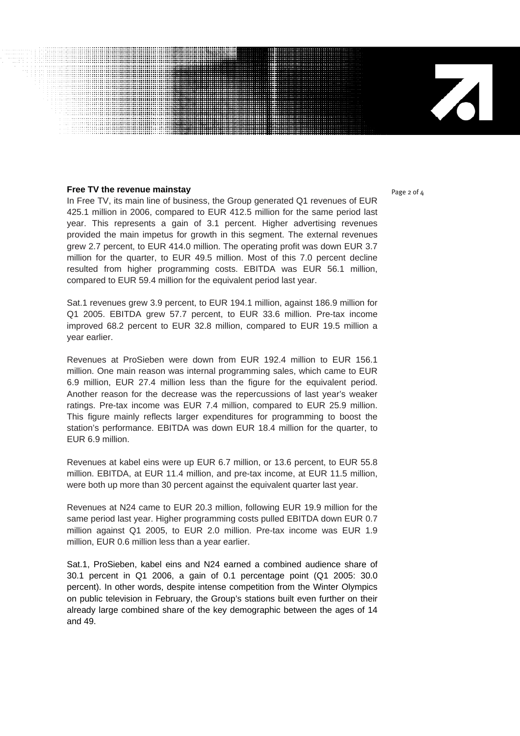#### **Free TV the revenue mainstay Page 2 of 4**

...............................

In Free TV, its main line of business, the Group generated Q1 revenues of EUR 425.1 million in 2006, compared to EUR 412.5 million for the same period last year. This represents a gain of 3.1 percent. Higher advertising revenues provided the main impetus for growth in this segment. The external revenues grew 2.7 percent, to EUR 414.0 million. The operating profit was down EUR 3.7 million for the quarter, to EUR 49.5 million. Most of this 7.0 percent decline resulted from higher programming costs. EBITDA was EUR 56.1 million, compared to EUR 59.4 million for the equivalent period last year.

Sat.1 revenues grew 3.9 percent, to EUR 194.1 million, against 186.9 million for Q1 2005. EBITDA grew 57.7 percent, to EUR 33.6 million. Pre-tax income improved 68.2 percent to EUR 32.8 million, compared to EUR 19.5 million a year earlier.

Revenues at ProSieben were down from EUR 192.4 million to EUR 156.1 million. One main reason was internal programming sales, which came to EUR 6.9 million, EUR 27.4 million less than the figure for the equivalent period. Another reason for the decrease was the repercussions of last year's weaker ratings. Pre-tax income was EUR 7.4 million, compared to EUR 25.9 million. This figure mainly reflects larger expenditures for programming to boost the station's performance. EBITDA was down EUR 18.4 million for the quarter, to EUR 6.9 million.

Revenues at kabel eins were up EUR 6.7 million, or 13.6 percent, to EUR 55.8 million. EBITDA, at EUR 11.4 million, and pre-tax income, at EUR 11.5 million, were both up more than 30 percent against the equivalent quarter last year.

Revenues at N24 came to EUR 20.3 million, following EUR 19.9 million for the same period last year. Higher programming costs pulled EBITDA down EUR 0.7 million against Q1 2005, to EUR 2.0 million. Pre-tax income was EUR 1.9 million, EUR 0.6 million less than a year earlier.

Sat.1, ProSieben, kabel eins and N24 earned a combined audience share of 30.1 percent in Q1 2006, a gain of 0.1 percentage point (Q1 2005: 30.0 percent). In other words, despite intense competition from the Winter Olympics on public television in February, the Group's stations built even further on their already large combined share of the key demographic between the ages of 14 and 49.

 $\mathbf{Z}$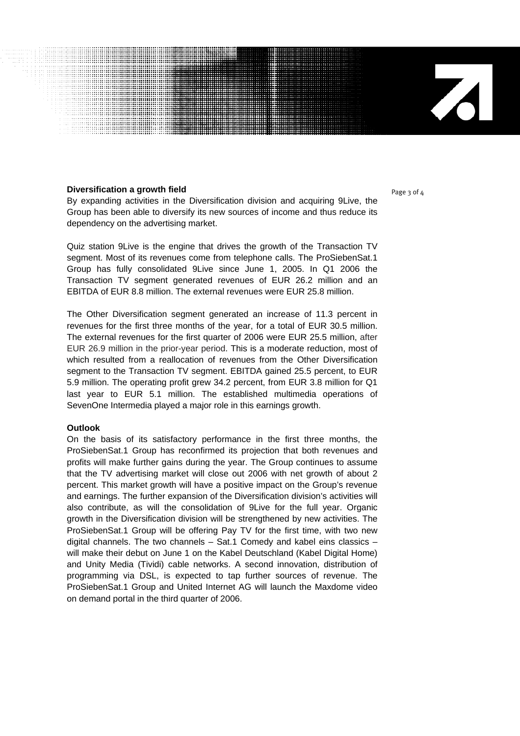#### **Diversification a growth field**  Page 3 of 4

................................

By expanding activities in the Diversification division and acquiring 9Live, the Group has been able to diversify its new sources of income and thus reduce its dependency on the advertising market.

Quiz station 9Live is the engine that drives the growth of the Transaction TV segment. Most of its revenues come from telephone calls. The ProSiebenSat.1 Group has fully consolidated 9Live since June 1, 2005. In Q1 2006 the Transaction TV segment generated revenues of EUR 26.2 million and an EBITDA of EUR 8.8 million. The external revenues were EUR 25.8 million.

The Other Diversification segment generated an increase of 11.3 percent in revenues for the first three months of the year, for a total of EUR 30.5 million. The external revenues for the first quarter of 2006 were EUR 25.5 million, after EUR 26.9 million in the prior-year period. This is a moderate reduction, most of which resulted from a reallocation of revenues from the Other Diversification segment to the Transaction TV segment. EBITDA gained 25.5 percent, to EUR 5.9 million. The operating profit grew 34.2 percent, from EUR 3.8 million for Q1 last year to EUR 5.1 million. The established multimedia operations of SevenOne Intermedia played a major role in this earnings growth.

#### **Outlook**

On the basis of its satisfactory performance in the first three months, the ProSiebenSat.1 Group has reconfirmed its projection that both revenues and profits will make further gains during the year. The Group continues to assume that the TV advertising market will close out 2006 with net growth of about 2 percent. This market growth will have a positive impact on the Group's revenue and earnings. The further expansion of the Diversification division's activities will also contribute, as will the consolidation of 9Live for the full year. Organic growth in the Diversification division will be strengthened by new activities. The ProSiebenSat.1 Group will be offering Pay TV for the first time, with two new digital channels. The two channels – Sat.1 Comedy and kabel eins classics – will make their debut on June 1 on the Kabel Deutschland (Kabel Digital Home) and Unity Media (Tividi) cable networks. A second innovation, distribution of programming via DSL, is expected to tap further sources of revenue. The ProSiebenSat.1 Group and United Internet AG will launch the Maxdome video on demand portal in the third quarter of 2006.

 $\mathbf{Z}$